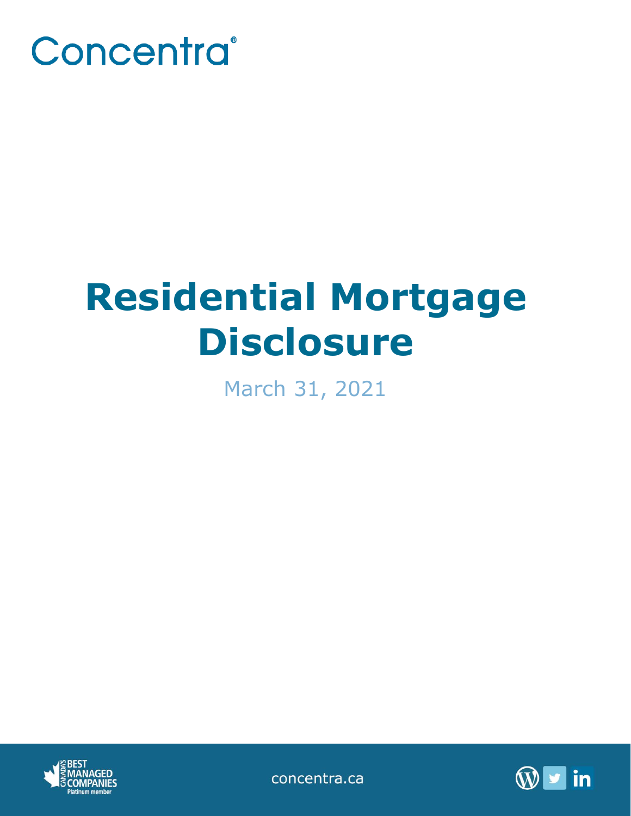

# **Residential Mortgage Disclosure**

March 31, 2021



concentra.ca

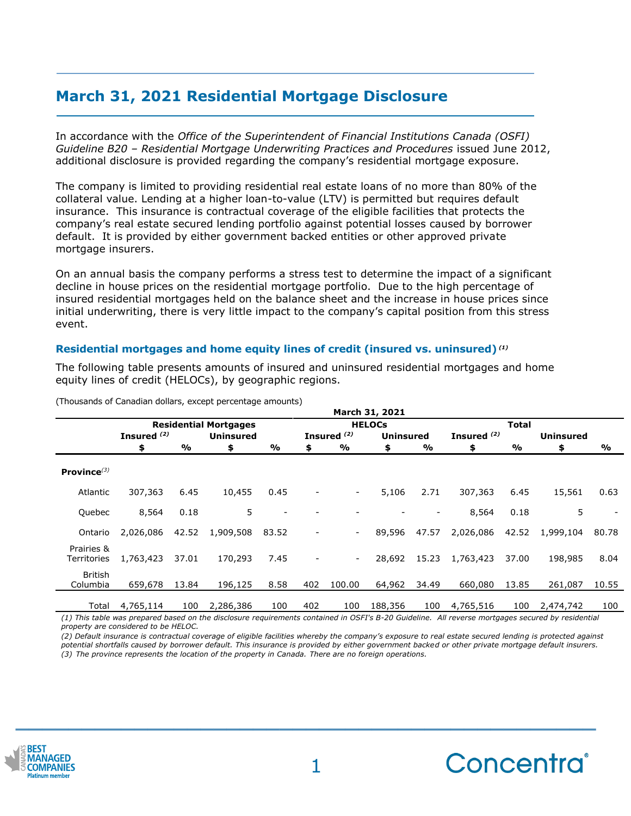## **March 31, 2021 Residential Mortgage Disclosure**

In accordance with the *Office of the Superintendent of Financial Institutions Canada (OSFI) Guideline B20 – Residential Mortgage Underwriting Practices and Procedures* issued June 2012, additional disclosure is provided regarding the company's residential mortgage exposure.

The company is limited to providing residential real estate loans of no more than 80% of the collateral value. Lending at a higher loan-to-value (LTV) is permitted but requires default insurance. This insurance is contractual coverage of the eligible facilities that protects the company's real estate secured lending portfolio against potential losses caused by borrower default. It is provided by either government backed entities or other approved private mortgage insurers.

On an annual basis the company performs a stress test to determine the impact of a significant decline in house prices on the residential mortgage portfolio. Due to the high percentage of insured residential mortgages held on the balance sheet and the increase in house prices since initial underwriting, there is very little impact to the company's capital position from this stress event.

#### **Residential mortgages and home equity lines of credit (insured vs. uninsured)** *(1)*

The following table presents amounts of insured and uninsured residential mortgages and home equity lines of credit (HELOCs), by geographic regions.

|                            | March 31, 2021               |       |                  |                          |                |                          |                  |       |               |       |                  |       |
|----------------------------|------------------------------|-------|------------------|--------------------------|----------------|--------------------------|------------------|-------|---------------|-------|------------------|-------|
|                            | <b>Residential Mortgages</b> |       |                  |                          | <b>HELOCS</b>  |                          |                  |       | <b>Total</b>  |       |                  |       |
|                            | Insured <sup>(2)</sup>       |       | <b>Uninsured</b> |                          |                | Insured <sup>(2)</sup>   | <b>Uninsured</b> |       | Insured $(2)$ |       | <b>Uninsured</b> |       |
|                            | \$                           | %     | \$               | $\frac{0}{0}$            | \$             | %                        | \$               | %     | \$            | %     | \$               | %     |
| Province $(3)$             |                              |       |                  |                          |                |                          |                  |       |               |       |                  |       |
| Atlantic                   | 307,363                      | 6.45  | 10,455           | 0.45                     | $\overline{a}$ | $\sim$                   | 5,106            | 2.71  | 307,363       | 6.45  | 15,561           | 0.63  |
| Quebec                     | 8,564                        | 0.18  | 5                | $\overline{\phantom{a}}$ |                |                          |                  |       | 8,564         | 0.18  | 5                |       |
| Ontario                    | 2,026,086                    | 42.52 | 1,909,508        | 83.52                    | $\overline{a}$ | $\blacksquare$           | 89,596           | 47.57 | 2,026,086     | 42.52 | 1,999,104        | 80.78 |
| Prairies &<br>Territories  | 1,763,423                    | 37.01 | 170,293          | 7.45                     |                | $\overline{\phantom{a}}$ | 28,692           | 15.23 | 1,763,423     | 37.00 | 198,985          | 8.04  |
| <b>British</b><br>Columbia | 659,678                      | 13.84 | 196,125          | 8.58                     | 402            | 100.00                   | 64,962           | 34.49 | 660,080       | 13.85 | 261,087          | 10.55 |
| Total                      | 4,765,114                    | 100   | 2,286,386        | 100                      | 402            | 100                      | 188,356          | 100   | 4,765,516     | 100   | 2,474,742        | 100   |

(Thousands of Canadian dollars, except percentage amounts)

*(1) This table was prepared based on the disclosure requirements contained in OSFI's B-20 Guideline. All reverse mortgages secured by residential property are considered to be HELOC.*

*(2) Default insurance is contractual coverage of eligible facilities whereby the company's exposure to real estate secured lending is protected against potential shortfalls caused by borrower default. This insurance is provided by either government backed or other private mortgage default insurers. (3) The province represents the location of the property in Canada. There are no foreign operations.*



**\_\_\_\_\_\_\_\_\_\_\_\_\_\_\_\_\_\_\_\_\_\_\_\_\_\_\_\_\_\_\_\_\_\_\_\_\_\_\_\_\_\_\_\_**